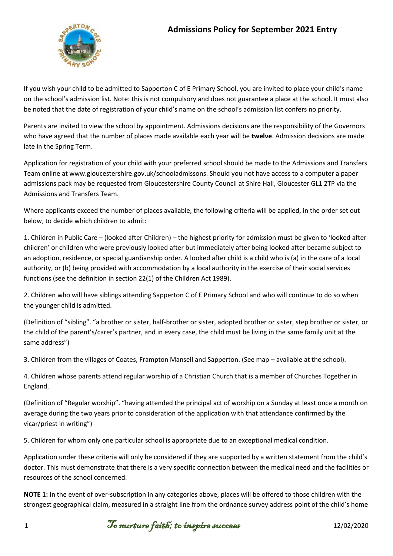

If you wish your child to be admitted to Sapperton C of E Primary School, you are invited to place your child's name on the school's admission list. Note: this is not compulsory and does not guarantee a place at the school. It must also be noted that the date of registration of your child's name on the school's admission list confers no priority.

Parents are invited to view the school by appointment. Admissions decisions are the responsibility of the Governors who have agreed that the number of places made available each year will be **twelve**. Admission decisions are made late in the Spring Term.

Application for registration of your child with your preferred school should be made to the Admissions and Transfers Team online at www.gloucestershire.gov.uk/schooladmissons. Should you not have access to a computer a paper admissions pack may be requested from Gloucestershire County Council at Shire Hall, Gloucester GL1 2TP via the Admissions and Transfers Team.

Where applicants exceed the number of places available, the following criteria will be applied, in the order set out below, to decide which children to admit:

1. Children in Public Care – (looked after Children) – the highest priority for admission must be given to 'looked after children' or children who were previously looked after but immediately after being looked after became subject to an adoption, residence, or special guardianship order. A looked after child is a child who is (a) in the care of a local authority, or (b) being provided with accommodation by a local authority in the exercise of their social services functions (see the definition in section 22(1) of the Children Act 1989).

2. Children who will have siblings attending Sapperton C of E Primary School and who will continue to do so when the younger child is admitted.

(Definition of "sibling". "a brother or sister, half-brother or sister, adopted brother or sister, step brother or sister, or the child of the parent's/carer's partner, and in every case, the child must be living in the same family unit at the same address")

3. Children from the villages of Coates, Frampton Mansell and Sapperton. (See map – available at the school).

4. Children whose parents attend regular worship of a Christian Church that is a member of Churches Together in England.

(Definition of "Regular worship". "having attended the principal act of worship on a Sunday at least once a month on average during the two years prior to consideration of the application with that attendance confirmed by the vicar/priest in writing")

5. Children for whom only one particular school is appropriate due to an exceptional medical condition.

Application under these criteria will only be considered if they are supported by a written statement from the child's doctor. This must demonstrate that there is a very specific connection between the medical need and the facilities or resources of the school concerned.

**NOTE 1:** In the event of over-subscription in any categories above, places will be offered to those children with the strongest geographical claim, measured in a straight line from the ordnance survey address point of the child's home